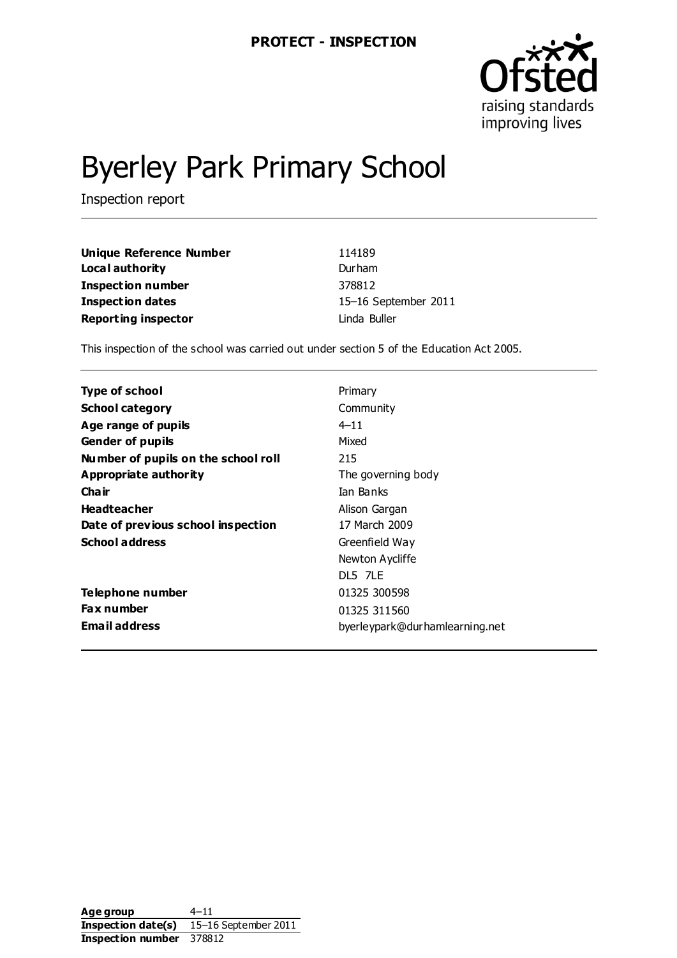

# Byerley Park Primary School

Inspection report

| Unique Reference Number    | 114189               |
|----------------------------|----------------------|
| Local authority            | Durham               |
| Inspection number          | 378812               |
| <b>Inspection dates</b>    | 15-16 September 2011 |
| <b>Reporting inspector</b> | Linda Buller         |

This inspection of the school was carried out under section 5 of the Education Act 2005.

| Type of school                      | Primary                        |
|-------------------------------------|--------------------------------|
| <b>School category</b>              | Community                      |
| Age range of pupils                 | $4 - 11$                       |
| <b>Gender of pupils</b>             | Mixed                          |
| Number of pupils on the school roll | 215                            |
| Appropriate authority               | The governing body             |
| Cha ir                              | Ian Banks                      |
| <b>Headteacher</b>                  | Alison Gargan                  |
| Date of previous school inspection  | 17 March 2009                  |
| <b>School address</b>               | Greenfield Way                 |
|                                     | Newton Aycliffe                |
|                                     | DL5 7LF                        |
| Telephone number                    | 01325 300598                   |
| <b>Fax number</b>                   | 01325 311560                   |
| <b>Email address</b>                | byerleypark@durhamlearning.net |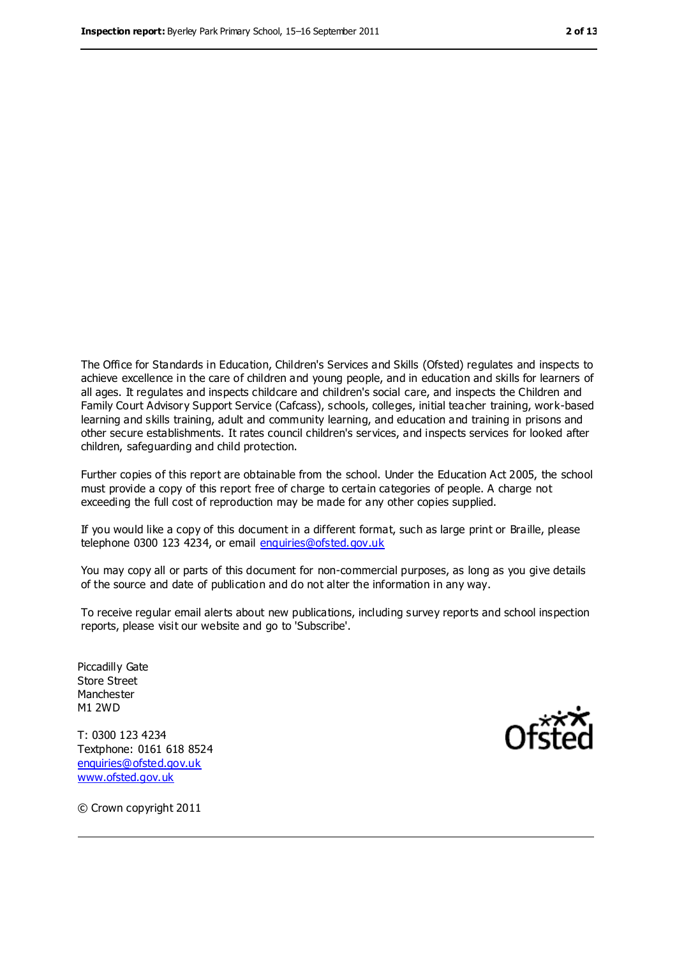The Office for Standards in Education, Children's Services and Skills (Ofsted) regulates and inspects to achieve excellence in the care of children and young people, and in education and skills for learners of all ages. It regulates and inspects childcare and children's social care, and inspects the Children and Family Court Advisory Support Service (Cafcass), schools, colleges, initial teacher training, work-based learning and skills training, adult and community learning, and education and training in prisons and other secure establishments. It rates council children's services, and inspects services for looked after children, safeguarding and child protection.

Further copies of this report are obtainable from the school. Under the Education Act 2005, the school must provide a copy of this report free of charge to certain categories of people. A charge not exceeding the full cost of reproduction may be made for any other copies supplied.

If you would like a copy of this document in a different format, such as large print or Braille, please telephone 0300 123 4234, or email [enquiries@ofsted.gov.uk](mailto:enquiries@ofsted.gov.uk)

You may copy all or parts of this document for non-commercial purposes, as long as you give details of the source and date of publication and do not alter the information in any way.

To receive regular email alerts about new publications, including survey reports and school inspection reports, please visit our website and go to 'Subscribe'.

Piccadilly Gate Store Street Manchester M1 2WD

T: 0300 123 4234 Textphone: 0161 618 8524 [enquiries@ofsted.gov.uk](mailto:enquiries@ofsted.gov.uk) [www.ofsted.gov.uk](http://www.ofsted.gov.uk/)



© Crown copyright 2011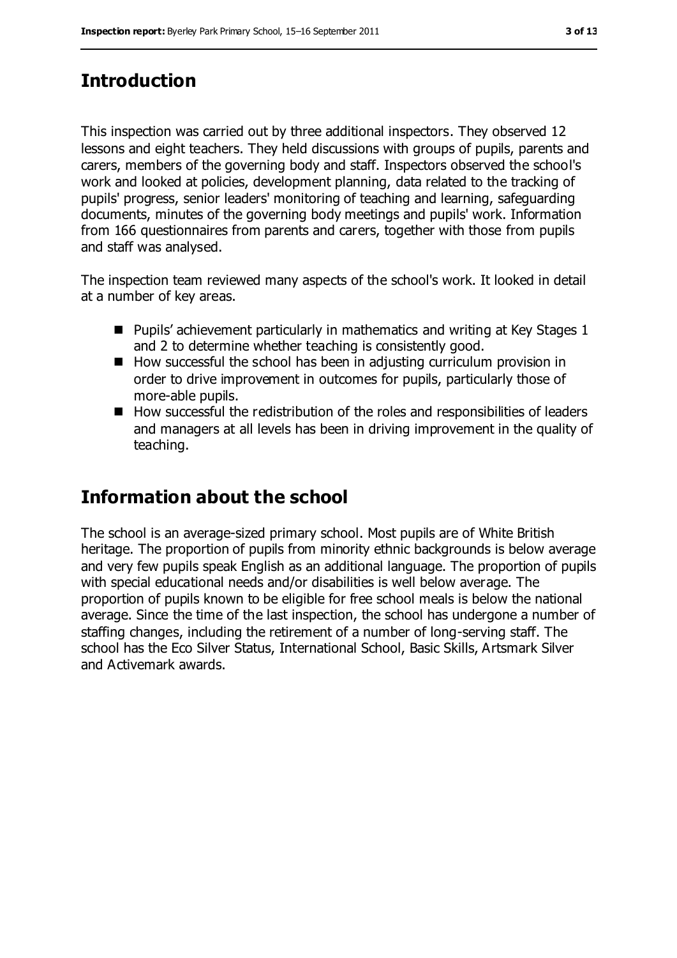## **Introduction**

This inspection was carried out by three additional inspectors. They observed 12 lessons and eight teachers. They held discussions with groups of pupils, parents and carers, members of the governing body and staff. Inspectors observed the school's work and looked at policies, development planning, data related to the tracking of pupils' progress, senior leaders' monitoring of teaching and learning, safeguarding documents, minutes of the governing body meetings and pupils' work. Information from 166 questionnaires from parents and carers, together with those from pupils and staff was analysed.

The inspection team reviewed many aspects of the school's work. It looked in detail at a number of key areas.

- **Pupils'** achievement particularly in mathematics and writing at Key Stages 1 and 2 to determine whether teaching is consistently good.
- $\blacksquare$  How successful the school has been in adjusting curriculum provision in order to drive improvement in outcomes for pupils, particularly those of more-able pupils.
- $\blacksquare$  How successful the redistribution of the roles and responsibilities of leaders and managers at all levels has been in driving improvement in the quality of teaching.

## **Information about the school**

The school is an average-sized primary school. Most pupils are of White British heritage. The proportion of pupils from minority ethnic backgrounds is below average and very few pupils speak English as an additional language. The proportion of pupils with special educational needs and/or disabilities is well below average. The proportion of pupils known to be eligible for free school meals is below the national average. Since the time of the last inspection, the school has undergone a number of staffing changes, including the retirement of a number of long-serving staff. The school has the Eco Silver Status, International School, Basic Skills, Artsmark Silver and Activemark awards.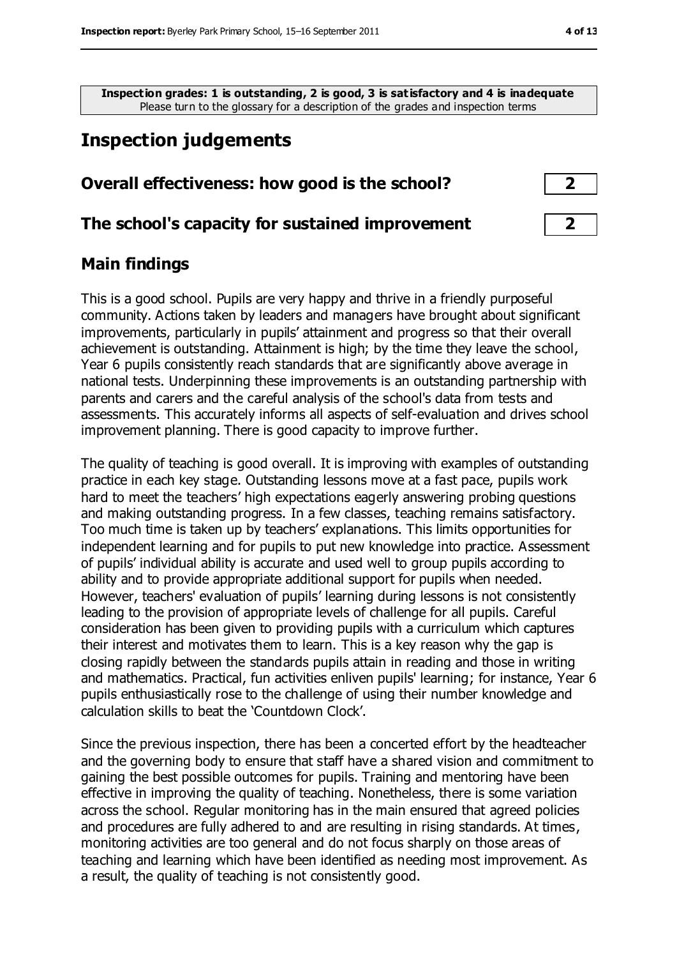**Inspection grades: 1 is outstanding, 2 is good, 3 is satisfactory and 4 is inadequate** Please turn to the glossary for a description of the grades and inspection terms

## **Inspection judgements**

#### **Overall effectiveness: how good is the school? 2**

#### **The school's capacity for sustained improvement 2**

#### **Main findings**

This is a good school. Pupils are very happy and thrive in a friendly purposeful community. Actions taken by leaders and managers have brought about significant improvements, particularly in pupils' attainment and progress so that their overall achievement is outstanding. Attainment is high; by the time they leave the school, Year 6 pupils consistently reach standards that are significantly above average in national tests. Underpinning these improvements is an outstanding partnership with parents and carers and the careful analysis of the school's data from tests and assessments. This accurately informs all aspects of self-evaluation and drives school improvement planning. There is good capacity to improve further.

The quality of teaching is good overall. It is improving with examples of outstanding practice in each key stage. Outstanding lessons move at a fast pace, pupils work hard to meet the teachers' high expectations eagerly answering probing questions and making outstanding progress. In a few classes, teaching remains satisfactory. Too much time is taken up by teachers' explanations. This limits opportunities for independent learning and for pupils to put new knowledge into practice. Assessment of pupils' individual ability is accurate and used well to group pupils according to ability and to provide appropriate additional support for pupils when needed. However, teachers' evaluation of pupils' learning during lessons is not consistently leading to the provision of appropriate levels of challenge for all pupils. Careful consideration has been given to providing pupils with a curriculum which captures their interest and motivates them to learn. This is a key reason why the gap is closing rapidly between the standards pupils attain in reading and those in writing and mathematics. Practical, fun activities enliven pupils' learning; for instance, Year 6 pupils enthusiastically rose to the challenge of using their number knowledge and calculation skills to beat the 'Countdown Clock'.

Since the previous inspection, there has been a concerted effort by the headteacher and the governing body to ensure that staff have a shared vision and commitment to gaining the best possible outcomes for pupils. Training and mentoring have been effective in improving the quality of teaching. Nonetheless, there is some variation across the school. Regular monitoring has in the main ensured that agreed policies and procedures are fully adhered to and are resulting in rising standards. At times, monitoring activities are too general and do not focus sharply on those areas of teaching and learning which have been identified as needing most improvement. As a result, the quality of teaching is not consistently good.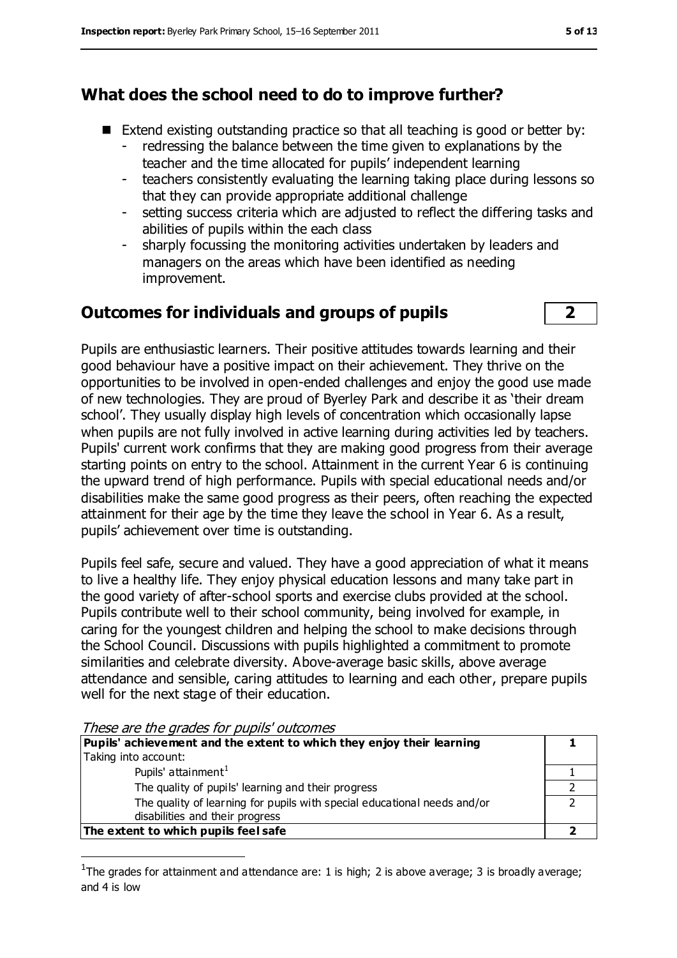#### **What does the school need to do to improve further?**

- Extend existing outstanding practice so that all teaching is good or better by:
	- redressing the balance between the time given to explanations by the teacher and the time allocated for pupils' independent learning
	- teachers consistently evaluating the learning taking place during lessons so that they can provide appropriate additional challenge
	- setting success criteria which are adjusted to reflect the differing tasks and abilities of pupils within the each class
	- sharply focussing the monitoring activities undertaken by leaders and managers on the areas which have been identified as needing improvement.

#### **Outcomes for individuals and groups of pupils 2**



Pupils are enthusiastic learners. Their positive attitudes towards learning and their good behaviour have a positive impact on their achievement. They thrive on the opportunities to be involved in open-ended challenges and enjoy the good use made of new technologies. They are proud of Byerley Park and describe it as 'their dream school'. They usually display high levels of concentration which occasionally lapse when pupils are not fully involved in active learning during activities led by teachers. Pupils' current work confirms that they are making good progress from their average starting points on entry to the school. Attainment in the current Year 6 is continuing the upward trend of high performance. Pupils with special educational needs and/or disabilities make the same good progress as their peers, often reaching the expected attainment for their age by the time they leave the school in Year 6. As a result, pupils' achievement over time is outstanding.

Pupils feel safe, secure and valued. They have a good appreciation of what it means to live a healthy life. They enjoy physical education lessons and many take part in the good variety of after-school sports and exercise clubs provided at the school. Pupils contribute well to their school community, being involved for example, in caring for the youngest children and helping the school to make decisions through the School Council. Discussions with pupils highlighted a commitment to promote similarities and celebrate diversity. Above-average basic skills, above average attendance and sensible, caring attitudes to learning and each other, prepare pupils well for the next stage of their education.

| ricoc dic arc grades for papils batterines                               |  |
|--------------------------------------------------------------------------|--|
| Pupils' achievement and the extent to which they enjoy their learning    |  |
| Taking into account:                                                     |  |
| Pupils' attainment <sup>1</sup>                                          |  |
| The quality of pupils' learning and their progress                       |  |
| The quality of learning for pupils with special educational needs and/or |  |
| disabilities and their progress                                          |  |
| The extent to which pupils feel safe                                     |  |
|                                                                          |  |

These are the grades for pupils' outcomes

 $\overline{a}$ 

<sup>1</sup>The grades for attainment and attendance are: 1 is high; 2 is above average; 3 is broadly average; and 4 is low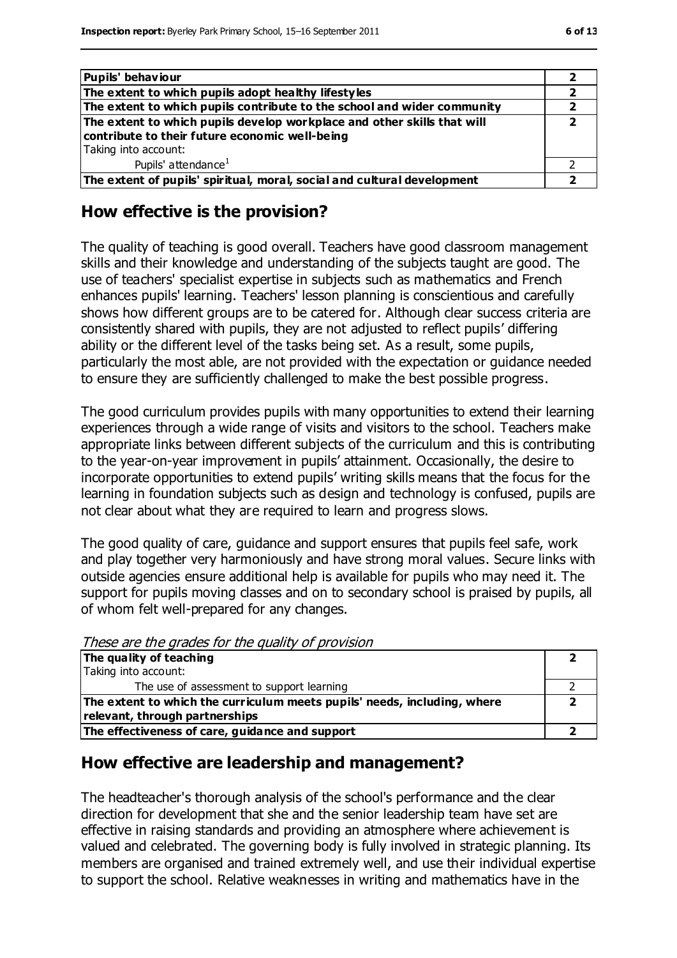| M.<br>۰.<br>۹ | ۰, |
|---------------|----|
|---------------|----|

| Pupils' behaviour                                                       |  |
|-------------------------------------------------------------------------|--|
| The extent to which pupils adopt healthy lifestyles                     |  |
| The extent to which pupils contribute to the school and wider community |  |
| The extent to which pupils develop workplace and other skills that will |  |
| contribute to their future economic well-being                          |  |
| Taking into account:                                                    |  |
| Pupils' attendance <sup>1</sup>                                         |  |
| The extent of pupils' spiritual, moral, social and cultural development |  |

#### **How effective is the provision?**

The quality of teaching is good overall. Teachers have good classroom management skills and their knowledge and understanding of the subjects taught are good. The use of teachers' specialist expertise in subjects such as mathematics and French enhances pupils' learning. Teachers' lesson planning is conscientious and carefully shows how different groups are to be catered for. Although clear success criteria are consistently shared with pupils, they are not adjusted to reflect pupils' differing ability or the different level of the tasks being set. As a result, some pupils, particularly the most able, are not provided with the expectation or guidance needed to ensure they are sufficiently challenged to make the best possible progress.

The good curriculum provides pupils with many opportunities to extend their learning experiences through a wide range of visits and visitors to the school. Teachers make appropriate links between different subjects of the curriculum and this is contributing to the year-on-year improvement in pupils' attainment. Occasionally, the desire to incorporate opportunities to extend pupils' writing skills means that the focus for the learning in foundation subjects such as design and technology is confused, pupils are not clear about what they are required to learn and progress slows.

The good quality of care, guidance and support ensures that pupils feel safe, work and play together very harmoniously and have strong moral values. Secure links with outside agencies ensure additional help is available for pupils who may need it. The support for pupils moving classes and on to secondary school is praised by pupils, all of whom felt well-prepared for any changes.

These are the grades for the quality of provision

| The quality of teaching                                                  |  |
|--------------------------------------------------------------------------|--|
| Taking into account:                                                     |  |
| The use of assessment to support learning                                |  |
| The extent to which the curriculum meets pupils' needs, including, where |  |
| relevant, through partnerships                                           |  |
| The effectiveness of care, guidance and support                          |  |

#### **How effective are leadership and management?**

The headteacher's thorough analysis of the school's performance and the clear direction for development that she and the senior leadership team have set are effective in raising standards and providing an atmosphere where achievement is valued and celebrated. The governing body is fully involved in strategic planning. Its members are organised and trained extremely well, and use their individual expertise to support the school. Relative weaknesses in writing and mathematics have in the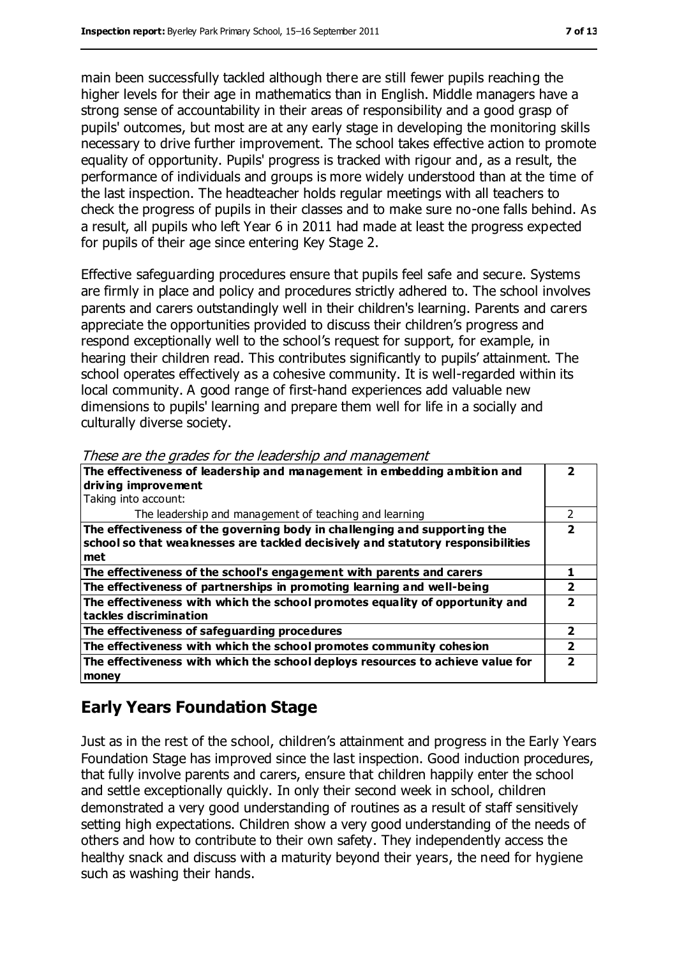main been successfully tackled although there are still fewer pupils reaching the higher levels for their age in mathematics than in English. Middle managers have a strong sense of accountability in their areas of responsibility and a good grasp of pupils' outcomes, but most are at any early stage in developing the monitoring skills necessary to drive further improvement. The school takes effective action to promote equality of opportunity. Pupils' progress is tracked with rigour and, as a result, the performance of individuals and groups is more widely understood than at the time of the last inspection. The headteacher holds regular meetings with all teachers to check the progress of pupils in their classes and to make sure no-one falls behind. As a result, all pupils who left Year 6 in 2011 had made at least the progress expected for pupils of their age since entering Key Stage 2.

Effective safeguarding procedures ensure that pupils feel safe and secure. Systems are firmly in place and policy and procedures strictly adhered to. The school involves parents and carers outstandingly well in their children's learning. Parents and carers appreciate the opportunities provided to discuss their children's progress and respond exceptionally well to the school's request for support, for example, in hearing their children read. This contributes significantly to pupils' attainment. The school operates effectively as a cohesive community. It is well-regarded within its local community. A good range of first-hand experiences add valuable new dimensions to pupils' learning and prepare them well for life in a socially and culturally diverse society.

| The effectiveness of leadership and management in embedding ambition and<br>driving improvement<br>Taking into account:                                             |   |
|---------------------------------------------------------------------------------------------------------------------------------------------------------------------|---|
| The leadership and management of teaching and learning                                                                                                              | 2 |
| The effectiveness of the governing body in challenging and supporting the<br>school so that weaknesses are tackled decisively and statutory responsibilities<br>met | 7 |
| The effectiveness of the school's engagement with parents and carers                                                                                                |   |
| The effectiveness of partnerships in promoting learning and well-being                                                                                              | 2 |
| The effectiveness with which the school promotes equality of opportunity and<br>tackles discrimination                                                              |   |
| The effectiveness of safeguarding procedures                                                                                                                        | 2 |
| The effectiveness with which the school promotes community cohesion                                                                                                 | 2 |
| The effectiveness with which the school deploys resources to achieve value for<br>money                                                                             |   |

These are the grades for the leadership and management

## **Early Years Foundation Stage**

Just as in the rest of the school, children's attainment and progress in the Early Years Foundation Stage has improved since the last inspection. Good induction procedures, that fully involve parents and carers, ensure that children happily enter the school and settle exceptionally quickly. In only their second week in school, children demonstrated a very good understanding of routines as a result of staff sensitively setting high expectations. Children show a very good understanding of the needs of others and how to contribute to their own safety. They independently access the healthy snack and discuss with a maturity beyond their years, the need for hygiene such as washing their hands.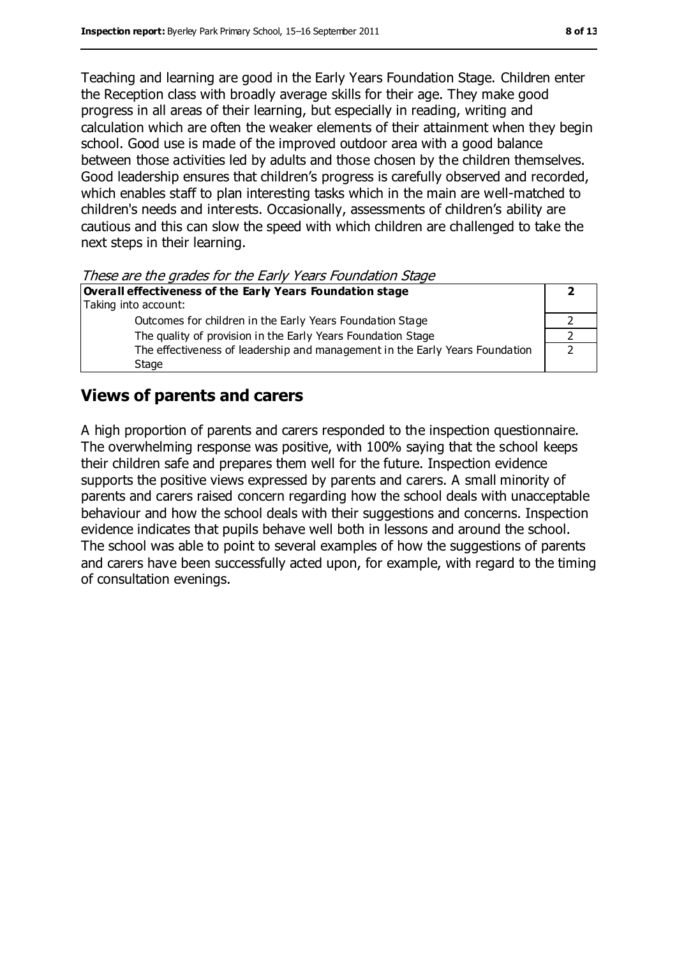Teaching and learning are good in the Early Years Foundation Stage. Children enter the Reception class with broadly average skills for their age. They make good progress in all areas of their learning, but especially in reading, writing and calculation which are often the weaker elements of their attainment when they begin school. Good use is made of the improved outdoor area with a good balance between those activities led by adults and those chosen by the children themselves. Good leadership ensures that children's progress is carefully observed and recorded, which enables staff to plan interesting tasks which in the main are well-matched to children's needs and interests. Occasionally, assessments of children's ability are cautious and this can slow the speed with which children are challenged to take the next steps in their learning.

These are the grades for the Early Years Foundation Stage

| These are are grades for are Early Tears Foundation stage                    |  |
|------------------------------------------------------------------------------|--|
| Overall effectiveness of the Early Years Foundation stage                    |  |
| Taking into account:                                                         |  |
| Outcomes for children in the Early Years Foundation Stage                    |  |
| The quality of provision in the Early Years Foundation Stage                 |  |
| The effectiveness of leadership and management in the Early Years Foundation |  |
| Stage                                                                        |  |

#### **Views of parents and carers**

A high proportion of parents and carers responded to the inspection questionnaire. The overwhelming response was positive, with 100% saying that the school keeps their children safe and prepares them well for the future. Inspection evidence supports the positive views expressed by parents and carers. A small minority of parents and carers raised concern regarding how the school deals with unacceptable behaviour and how the school deals with their suggestions and concerns. Inspection evidence indicates that pupils behave well both in lessons and around the school. The school was able to point to several examples of how the suggestions of parents and carers have been successfully acted upon, for example, with regard to the timing of consultation evenings.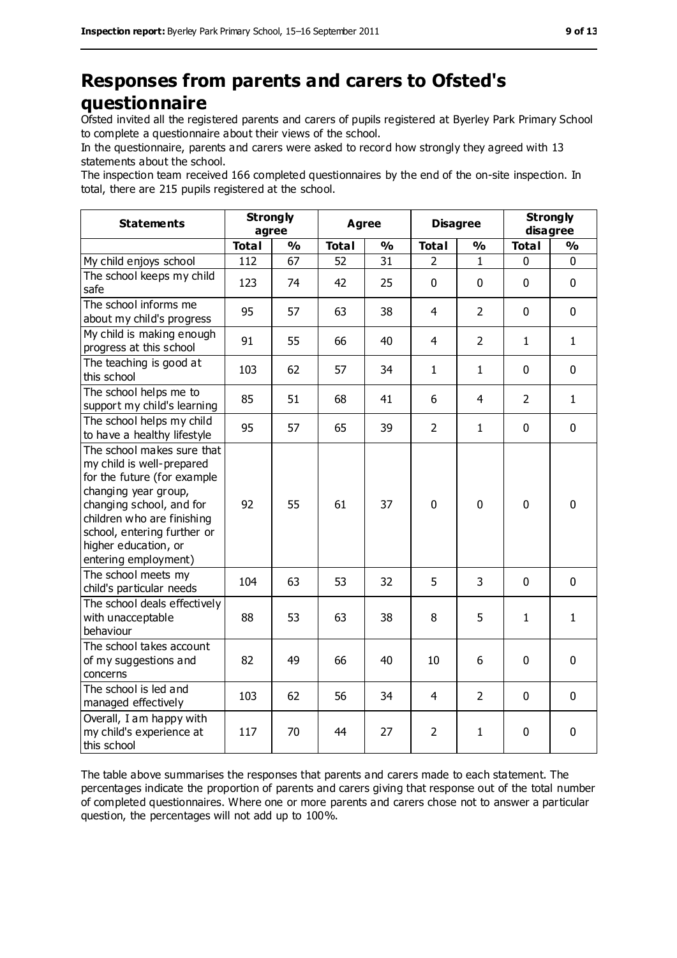## **Responses from parents and carers to Ofsted's questionnaire**

Ofsted invited all the registered parents and carers of pupils registered at Byerley Park Primary School to complete a questionnaire about their views of the school.

In the questionnaire, parents and carers were asked to record how strongly they agreed with 13 statements about the school.

The inspection team received 166 completed questionnaires by the end of the on-site inspection. In total, there are 215 pupils registered at the school.

| <b>Statements</b>                                                                                                                                                                                                                                       | <b>Strongly</b><br>agree |               |              | <b>Agree</b>  |                | <b>Disagree</b> |                | <b>Strongly</b><br>disagree |
|---------------------------------------------------------------------------------------------------------------------------------------------------------------------------------------------------------------------------------------------------------|--------------------------|---------------|--------------|---------------|----------------|-----------------|----------------|-----------------------------|
|                                                                                                                                                                                                                                                         | <b>Total</b>             | $\frac{0}{0}$ | <b>Total</b> | $\frac{0}{0}$ | <b>Total</b>   | $\frac{1}{2}$   | <b>Total</b>   | $\frac{0}{0}$               |
| My child enjoys school                                                                                                                                                                                                                                  | 112                      | 67            | 52           | 31            | 2              | $\mathbf{1}$    | 0              | 0                           |
| The school keeps my child<br>safe                                                                                                                                                                                                                       | 123                      | 74            | 42           | 25            | 0              | $\mathbf 0$     | $\mathbf 0$    | $\mathbf 0$                 |
| The school informs me<br>about my child's progress                                                                                                                                                                                                      | 95                       | 57            | 63           | 38            | 4              | $\overline{2}$  | $\mathbf 0$    | $\mathbf 0$                 |
| My child is making enough<br>progress at this school                                                                                                                                                                                                    | 91                       | 55            | 66           | 40            | $\overline{4}$ | $\overline{2}$  | $\mathbf{1}$   | $\mathbf{1}$                |
| The teaching is good at<br>this school                                                                                                                                                                                                                  | 103                      | 62            | 57           | 34            | $\mathbf{1}$   | $\mathbf{1}$    | $\mathbf 0$    | $\mathbf 0$                 |
| The school helps me to<br>support my child's learning                                                                                                                                                                                                   | 85                       | 51            | 68           | 41            | 6              | $\overline{4}$  | $\overline{2}$ | $\mathbf{1}$                |
| The school helps my child<br>to have a healthy lifestyle                                                                                                                                                                                                | 95                       | 57            | 65           | 39            | $\overline{2}$ | $\mathbf{1}$    | $\mathbf 0$    | $\mathbf 0$                 |
| The school makes sure that<br>my child is well-prepared<br>for the future (for example<br>changing year group,<br>changing school, and for<br>children who are finishing<br>school, entering further or<br>higher education, or<br>entering employment) | 92                       | 55            | 61           | 37            | $\mathbf 0$    | $\mathbf 0$     | $\mathbf 0$    | $\mathbf 0$                 |
| The school meets my<br>child's particular needs                                                                                                                                                                                                         | 104                      | 63            | 53           | 32            | 5              | 3               | $\mathbf 0$    | $\mathbf 0$                 |
| The school deals effectively<br>with unacceptable<br>behaviour                                                                                                                                                                                          | 88                       | 53            | 63           | 38            | 8              | 5               | $\mathbf{1}$   | $\mathbf{1}$                |
| The school takes account<br>of my suggestions and<br>concerns                                                                                                                                                                                           | 82                       | 49            | 66           | 40            | 10             | 6               | $\mathbf 0$    | 0                           |
| The school is led and<br>managed effectively                                                                                                                                                                                                            | 103                      | 62            | 56           | 34            | 4              | $\overline{2}$  | $\mathbf 0$    | $\mathbf 0$                 |
| Overall, I am happy with<br>my child's experience at<br>this school                                                                                                                                                                                     | 117                      | 70            | 44           | 27            | $\overline{2}$ | $\mathbf{1}$    | 0              | 0                           |

The table above summarises the responses that parents and carers made to each statement. The percentages indicate the proportion of parents and carers giving that response out of the total number of completed questionnaires. Where one or more parents and carers chose not to answer a particular question, the percentages will not add up to 100%.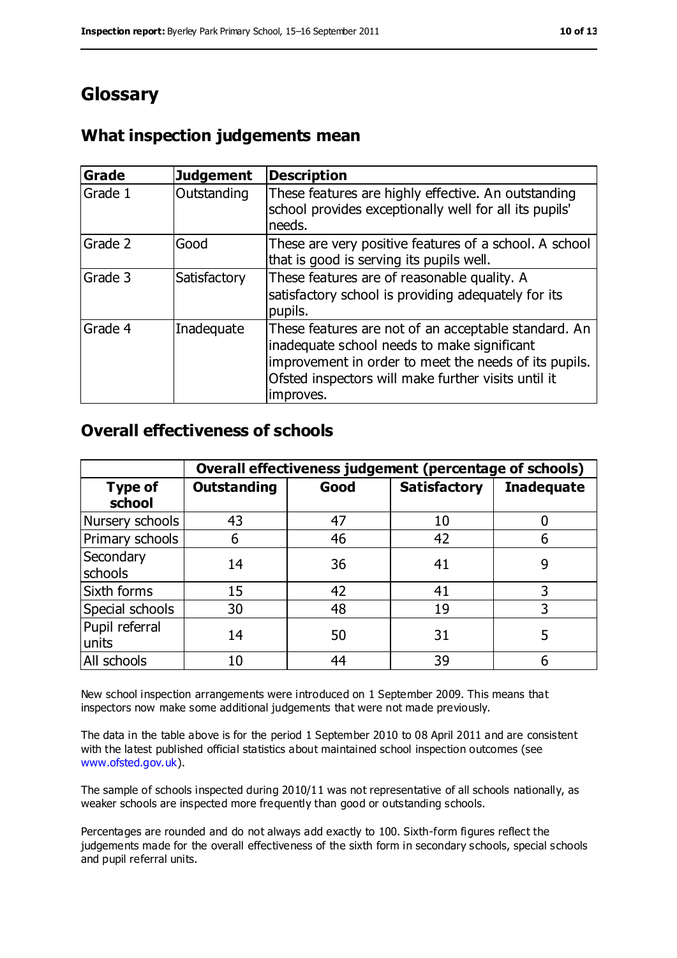## **Glossary**

#### **What inspection judgements mean**

| Grade   | <b>Judgement</b> | <b>Description</b>                                                                                                                                                                                                               |
|---------|------------------|----------------------------------------------------------------------------------------------------------------------------------------------------------------------------------------------------------------------------------|
| Grade 1 | Outstanding      | These features are highly effective. An outstanding<br>school provides exceptionally well for all its pupils'<br>needs.                                                                                                          |
| Grade 2 | Good             | These are very positive features of a school. A school<br>that is good is serving its pupils well.                                                                                                                               |
| Grade 3 | Satisfactory     | These features are of reasonable quality. A<br>satisfactory school is providing adequately for its<br>pupils.                                                                                                                    |
| Grade 4 | Inadequate       | These features are not of an acceptable standard. An<br>inadequate school needs to make significant<br>improvement in order to meet the needs of its pupils.<br>Ofsted inspectors will make further visits until it<br>improves. |

#### **Overall effectiveness of schools**

|                          | Overall effectiveness judgement (percentage of schools) |      |                     |                   |
|--------------------------|---------------------------------------------------------|------|---------------------|-------------------|
| <b>Type of</b><br>school | <b>Outstanding</b>                                      | Good | <b>Satisfactory</b> | <b>Inadequate</b> |
| Nursery schools          | 43                                                      | 47   | 10                  |                   |
| Primary schools          | 6                                                       | 46   | 42                  |                   |
| Secondary<br>schools     | 14                                                      | 36   | 41                  | 9                 |
| Sixth forms              | 15                                                      | 42   | 41                  | 3                 |
| Special schools          | 30                                                      | 48   | 19                  | 3                 |
| Pupil referral<br>units  | 14                                                      | 50   | 31                  |                   |
| All schools              | 10                                                      | 44   | 39                  |                   |

New school inspection arrangements were introduced on 1 September 2009. This means that inspectors now make some additional judgements that were not made previously.

The data in the table above is for the period 1 September 2010 to 08 April 2011 and are consistent with the latest published official statistics about maintained school inspection outcomes (see [www.ofsted.gov.uk\)](http://www.ofsted.gov.uk/).

The sample of schools inspected during 2010/11 was not representative of all schools nationally, as weaker schools are inspected more frequently than good or outstanding schools.

Percentages are rounded and do not always add exactly to 100. Sixth-form figures reflect the judgements made for the overall effectiveness of the sixth form in secondary schools, special schools and pupil referral units.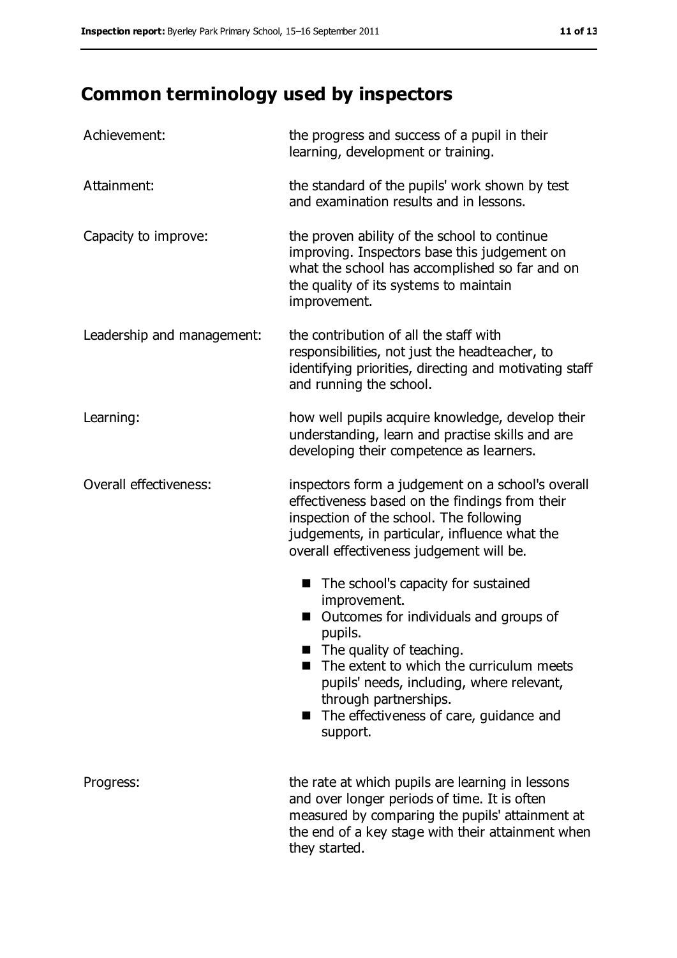## **Common terminology used by inspectors**

| Achievement:               | the progress and success of a pupil in their<br>learning, development or training.                                                                                                                                                                                                                                 |
|----------------------------|--------------------------------------------------------------------------------------------------------------------------------------------------------------------------------------------------------------------------------------------------------------------------------------------------------------------|
| Attainment:                | the standard of the pupils' work shown by test<br>and examination results and in lessons.                                                                                                                                                                                                                          |
| Capacity to improve:       | the proven ability of the school to continue<br>improving. Inspectors base this judgement on<br>what the school has accomplished so far and on<br>the quality of its systems to maintain<br>improvement.                                                                                                           |
| Leadership and management: | the contribution of all the staff with<br>responsibilities, not just the headteacher, to<br>identifying priorities, directing and motivating staff<br>and running the school.                                                                                                                                      |
| Learning:                  | how well pupils acquire knowledge, develop their<br>understanding, learn and practise skills and are<br>developing their competence as learners.                                                                                                                                                                   |
| Overall effectiveness:     | inspectors form a judgement on a school's overall<br>effectiveness based on the findings from their<br>inspection of the school. The following<br>judgements, in particular, influence what the<br>overall effectiveness judgement will be.                                                                        |
|                            | The school's capacity for sustained<br>improvement.<br>Outcomes for individuals and groups of<br>pupils.<br>The quality of teaching.<br>The extent to which the curriculum meets<br>pupils' needs, including, where relevant,<br>through partnerships.<br>The effectiveness of care, guidance and<br>■<br>support. |
| Progress:                  | the rate at which pupils are learning in lessons<br>and over longer periods of time. It is often<br>measured by comparing the pupils' attainment at<br>the end of a key stage with their attainment when<br>they started.                                                                                          |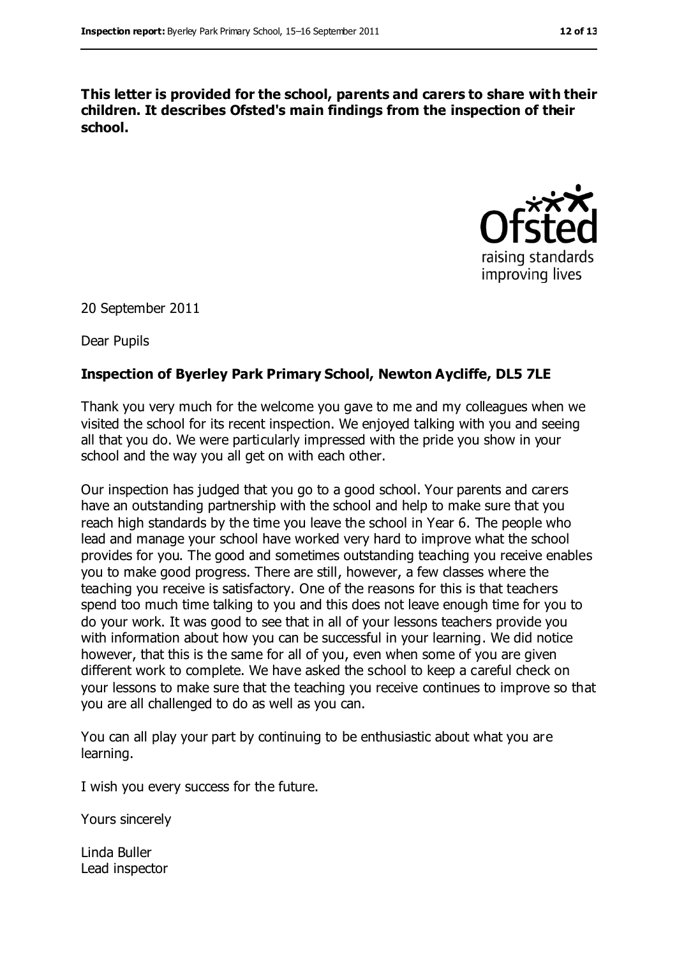**This letter is provided for the school, parents and carers to share with their children. It describes Ofsted's main findings from the inspection of their school.**



20 September 2011

Dear Pupils

#### **Inspection of Byerley Park Primary School, Newton Aycliffe, DL5 7LE**

Thank you very much for the welcome you gave to me and my colleagues when we visited the school for its recent inspection. We enjoyed talking with you and seeing all that you do. We were particularly impressed with the pride you show in your school and the way you all get on with each other.

Our inspection has judged that you go to a good school. Your parents and carers have an outstanding partnership with the school and help to make sure that you reach high standards by the time you leave the school in Year 6. The people who lead and manage your school have worked very hard to improve what the school provides for you. The good and sometimes outstanding teaching you receive enables you to make good progress. There are still, however, a few classes where the teaching you receive is satisfactory. One of the reasons for this is that teachers spend too much time talking to you and this does not leave enough time for you to do your work. It was good to see that in all of your lessons teachers provide you with information about how you can be successful in your learning. We did notice however, that this is the same for all of you, even when some of you are given different work to complete. We have asked the school to keep a careful check on your lessons to make sure that the teaching you receive continues to improve so that you are all challenged to do as well as you can.

You can all play your part by continuing to be enthusiastic about what you are learning.

I wish you every success for the future.

Yours sincerely

Linda Buller Lead inspector